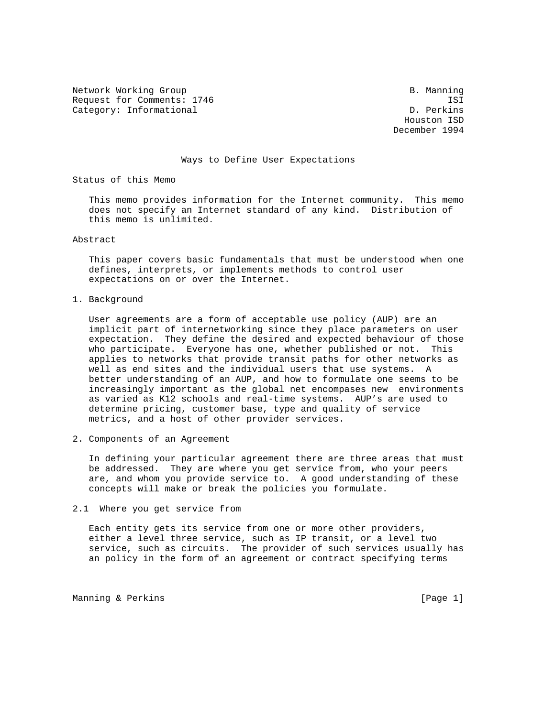Network Working Group and B. Manning B. Manning Request for Comments: 1746 ISI Category: Informational development of the control of the D. Perkins

 Houston ISD December 1994

#### Ways to Define User Expectations

Status of this Memo

 This memo provides information for the Internet community. This memo does not specify an Internet standard of any kind. Distribution of this memo is unlimited.

Abstract

 This paper covers basic fundamentals that must be understood when one defines, interprets, or implements methods to control user expectations on or over the Internet.

1. Background

 User agreements are a form of acceptable use policy (AUP) are an implicit part of internetworking since they place parameters on user expectation. They define the desired and expected behaviour of those who participate. Everyone has one, whether published or not. This applies to networks that provide transit paths for other networks as well as end sites and the individual users that use systems. A better understanding of an AUP, and how to formulate one seems to be increasingly important as the global net encompases new environments as varied as K12 schools and real-time systems. AUP's are used to determine pricing, customer base, type and quality of service metrics, and a host of other provider services.

2. Components of an Agreement

 In defining your particular agreement there are three areas that must be addressed. They are where you get service from, who your peers are, and whom you provide service to. A good understanding of these concepts will make or break the policies you formulate.

2.1 Where you get service from

 Each entity gets its service from one or more other providers, either a level three service, such as IP transit, or a level two service, such as circuits. The provider of such services usually has an policy in the form of an agreement or contract specifying terms

Manning & Perkins (Page 1)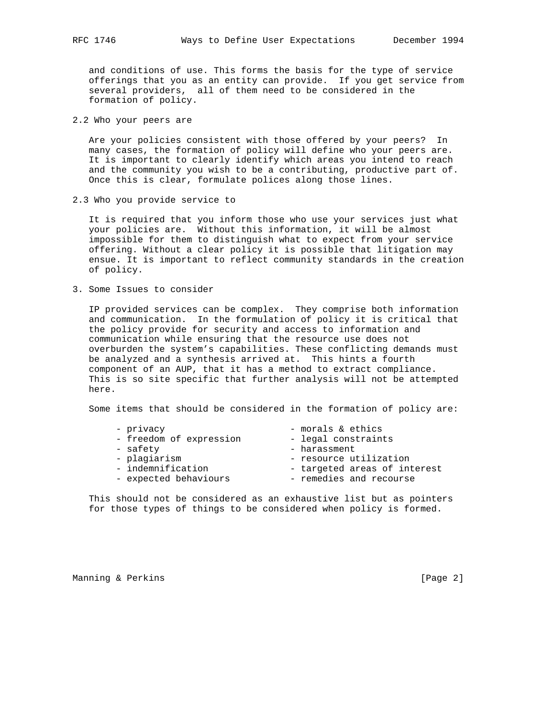and conditions of use. This forms the basis for the type of service offerings that you as an entity can provide. If you get service from several providers, all of them need to be considered in the formation of policy.

2.2 Who your peers are

 Are your policies consistent with those offered by your peers? In many cases, the formation of policy will define who your peers are. It is important to clearly identify which areas you intend to reach and the community you wish to be a contributing, productive part of. Once this is clear, formulate polices along those lines.

2.3 Who you provide service to

 It is required that you inform those who use your services just what your policies are. Without this information, it will be almost impossible for them to distinguish what to expect from your service offering. Without a clear policy it is possible that litigation may ensue. It is important to reflect community standards in the creation of policy.

3. Some Issues to consider

 IP provided services can be complex. They comprise both information and communication. In the formulation of policy it is critical that the policy provide for security and access to information and communication while ensuring that the resource use does not overburden the system's capabilities. These conflicting demands must be analyzed and a synthesis arrived at. This hints a fourth component of an AUP, that it has a method to extract compliance. This is so site specific that further analysis will not be attempted here.

Some items that should be considered in the formation of policy are:

| - privacy               | - morals & ethics            |
|-------------------------|------------------------------|
| - freedom of expression | - legal constraints          |
| - safety                | - harassment                 |
| - plagiarism            | - resource utilization       |
| - indemnification       | - targeted areas of interest |
| - expected behaviours   | - remedies and recourse      |

 This should not be considered as an exhaustive list but as pointers for those types of things to be considered when policy is formed.

Manning & Perkins (Page 2)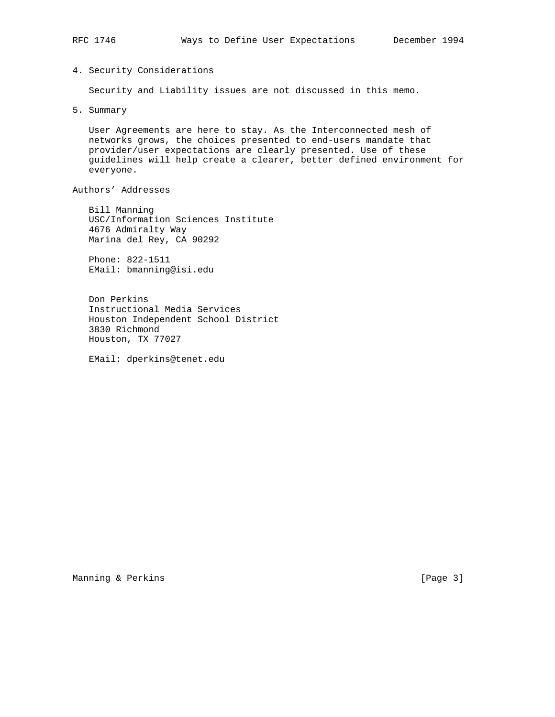# 4. Security Considerations

Security and Liability issues are not discussed in this memo.

5. Summary

 User Agreements are here to stay. As the Interconnected mesh of networks grows, the choices presented to end-users mandate that provider/user expectations are clearly presented. Use of these guidelines will help create a clearer, better defined environment for everyone.

Authors' Addresses

 Bill Manning USC/Information Sciences Institute 4676 Admiralty Way Marina del Rey, CA 90292

 Phone: 822-1511 EMail: bmanning@isi.edu

 Don Perkins Instructional Media Services Houston Independent School District 3830 Richmond Houston, TX 77027

EMail: dperkins@tenet.edu

Manning & Perkins (Page 3)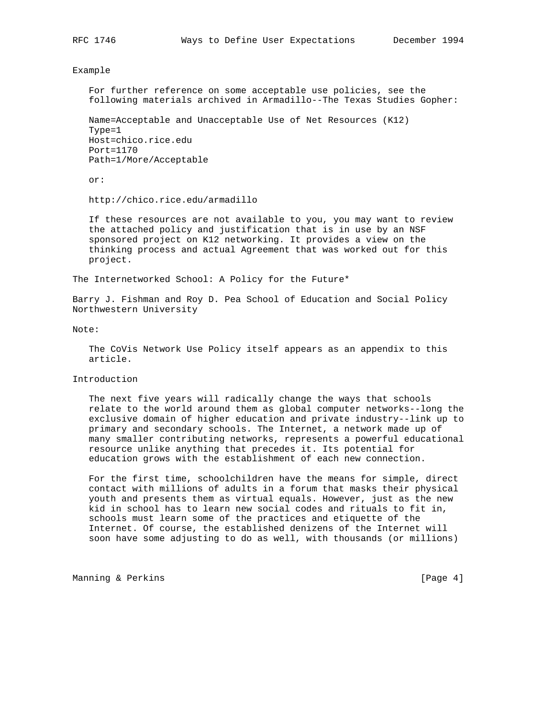Example

 For further reference on some acceptable use policies, see the following materials archived in Armadillo--The Texas Studies Gopher:

 Name=Acceptable and Unacceptable Use of Net Resources (K12) Type=1 Host=chico.rice.edu Port=1170 Path=1/More/Acceptable

or:

http://chico.rice.edu/armadillo

 If these resources are not available to you, you may want to review the attached policy and justification that is in use by an NSF sponsored project on K12 networking. It provides a view on the thinking process and actual Agreement that was worked out for this project.

The Internetworked School: A Policy for the Future\*

Barry J. Fishman and Roy D. Pea School of Education and Social Policy Northwestern University

Note:

 The CoVis Network Use Policy itself appears as an appendix to this article.

Introduction

 The next five years will radically change the ways that schools relate to the world around them as global computer networks--long the exclusive domain of higher education and private industry--link up to primary and secondary schools. The Internet, a network made up of many smaller contributing networks, represents a powerful educational resource unlike anything that precedes it. Its potential for education grows with the establishment of each new connection.

 For the first time, schoolchildren have the means for simple, direct contact with millions of adults in a forum that masks their physical youth and presents them as virtual equals. However, just as the new kid in school has to learn new social codes and rituals to fit in, schools must learn some of the practices and etiquette of the Internet. Of course, the established denizens of the Internet will soon have some adjusting to do as well, with thousands (or millions)

Manning & Perkins (Page 4)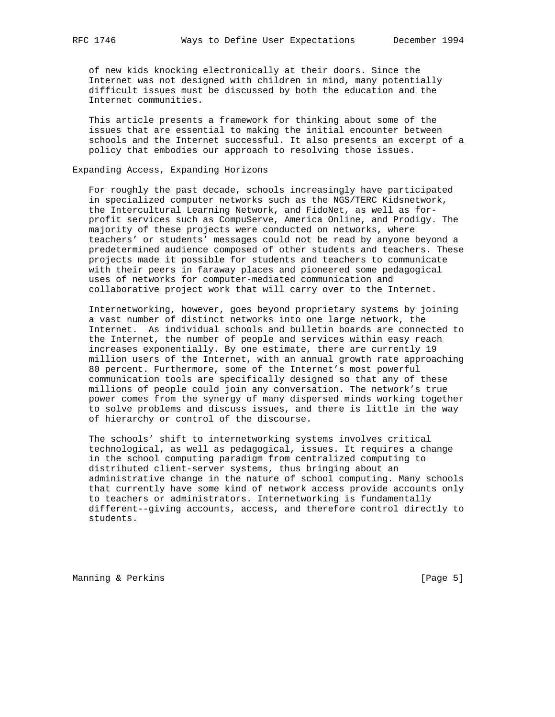of new kids knocking electronically at their doors. Since the Internet was not designed with children in mind, many potentially difficult issues must be discussed by both the education and the Internet communities.

 This article presents a framework for thinking about some of the issues that are essential to making the initial encounter between schools and the Internet successful. It also presents an excerpt of a policy that embodies our approach to resolving those issues.

### Expanding Access, Expanding Horizons

 For roughly the past decade, schools increasingly have participated in specialized computer networks such as the NGS/TERC Kidsnetwork, the Intercultural Learning Network, and FidoNet, as well as for profit services such as CompuServe, America Online, and Prodigy. The majority of these projects were conducted on networks, where teachers' or students' messages could not be read by anyone beyond a predetermined audience composed of other students and teachers. These projects made it possible for students and teachers to communicate with their peers in faraway places and pioneered some pedagogical uses of networks for computer-mediated communication and collaborative project work that will carry over to the Internet.

 Internetworking, however, goes beyond proprietary systems by joining a vast number of distinct networks into one large network, the Internet. As individual schools and bulletin boards are connected to the Internet, the number of people and services within easy reach increases exponentially. By one estimate, there are currently 19 million users of the Internet, with an annual growth rate approaching 80 percent. Furthermore, some of the Internet's most powerful communication tools are specifically designed so that any of these millions of people could join any conversation. The network's true power comes from the synergy of many dispersed minds working together to solve problems and discuss issues, and there is little in the way of hierarchy or control of the discourse.

 The schools' shift to internetworking systems involves critical technological, as well as pedagogical, issues. It requires a change in the school computing paradigm from centralized computing to distributed client-server systems, thus bringing about an administrative change in the nature of school computing. Many schools that currently have some kind of network access provide accounts only to teachers or administrators. Internetworking is fundamentally different--giving accounts, access, and therefore control directly to students.

Manning & Perkins (Page 5)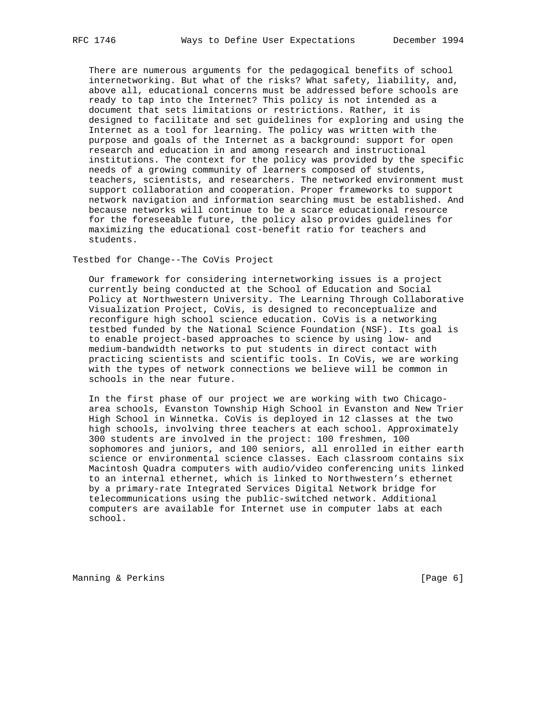There are numerous arguments for the pedagogical benefits of school internetworking. But what of the risks? What safety, liability, and, above all, educational concerns must be addressed before schools are ready to tap into the Internet? This policy is not intended as a document that sets limitations or restrictions. Rather, it is designed to facilitate and set guidelines for exploring and using the Internet as a tool for learning. The policy was written with the purpose and goals of the Internet as a background: support for open research and education in and among research and instructional institutions. The context for the policy was provided by the specific needs of a growing community of learners composed of students, teachers, scientists, and researchers. The networked environment must support collaboration and cooperation. Proper frameworks to support network navigation and information searching must be established. And because networks will continue to be a scarce educational resource for the foreseeable future, the policy also provides guidelines for maximizing the educational cost-benefit ratio for teachers and students.

Testbed for Change--The CoVis Project

 Our framework for considering internetworking issues is a project currently being conducted at the School of Education and Social Policy at Northwestern University. The Learning Through Collaborative Visualization Project, CoVis, is designed to reconceptualize and reconfigure high school science education. CoVis is a networking testbed funded by the National Science Foundation (NSF). Its goal is to enable project-based approaches to science by using low- and medium-bandwidth networks to put students in direct contact with practicing scientists and scientific tools. In CoVis, we are working with the types of network connections we believe will be common in schools in the near future.

 In the first phase of our project we are working with two Chicago area schools, Evanston Township High School in Evanston and New Trier High School in Winnetka. CoVis is deployed in 12 classes at the two high schools, involving three teachers at each school. Approximately 300 students are involved in the project: 100 freshmen, 100 sophomores and juniors, and 100 seniors, all enrolled in either earth science or environmental science classes. Each classroom contains six Macintosh Quadra computers with audio/video conferencing units linked to an internal ethernet, which is linked to Northwestern's ethernet by a primary-rate Integrated Services Digital Network bridge for telecommunications using the public-switched network. Additional computers are available for Internet use in computer labs at each school.

Manning & Perkins (Page 6)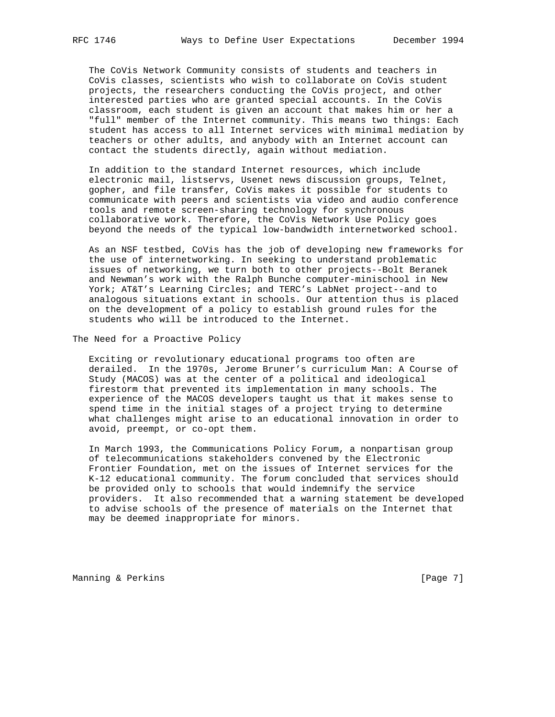The CoVis Network Community consists of students and teachers in CoVis classes, scientists who wish to collaborate on CoVis student projects, the researchers conducting the CoVis project, and other interested parties who are granted special accounts. In the CoVis classroom, each student is given an account that makes him or her a "full" member of the Internet community. This means two things: Each student has access to all Internet services with minimal mediation by teachers or other adults, and anybody with an Internet account can contact the students directly, again without mediation.

 In addition to the standard Internet resources, which include electronic mail, listservs, Usenet news discussion groups, Telnet, gopher, and file transfer, CoVis makes it possible for students to communicate with peers and scientists via video and audio conference tools and remote screen-sharing technology for synchronous collaborative work. Therefore, the CoVis Network Use Policy goes beyond the needs of the typical low-bandwidth internetworked school.

 As an NSF testbed, CoVis has the job of developing new frameworks for the use of internetworking. In seeking to understand problematic issues of networking, we turn both to other projects--Bolt Beranek and Newman's work with the Ralph Bunche computer-minischool in New York; AT&T's Learning Circles; and TERC's LabNet project--and to analogous situations extant in schools. Our attention thus is placed on the development of a policy to establish ground rules for the students who will be introduced to the Internet.

The Need for a Proactive Policy

 Exciting or revolutionary educational programs too often are derailed. In the 1970s, Jerome Bruner's curriculum Man: A Course of Study (MACOS) was at the center of a political and ideological firestorm that prevented its implementation in many schools. The experience of the MACOS developers taught us that it makes sense to spend time in the initial stages of a project trying to determine what challenges might arise to an educational innovation in order to avoid, preempt, or co-opt them.

 In March 1993, the Communications Policy Forum, a nonpartisan group of telecommunications stakeholders convened by the Electronic Frontier Foundation, met on the issues of Internet services for the K-12 educational community. The forum concluded that services should be provided only to schools that would indemnify the service providers. It also recommended that a warning statement be developed to advise schools of the presence of materials on the Internet that may be deemed inappropriate for minors.

Manning & Perkins (Page 7)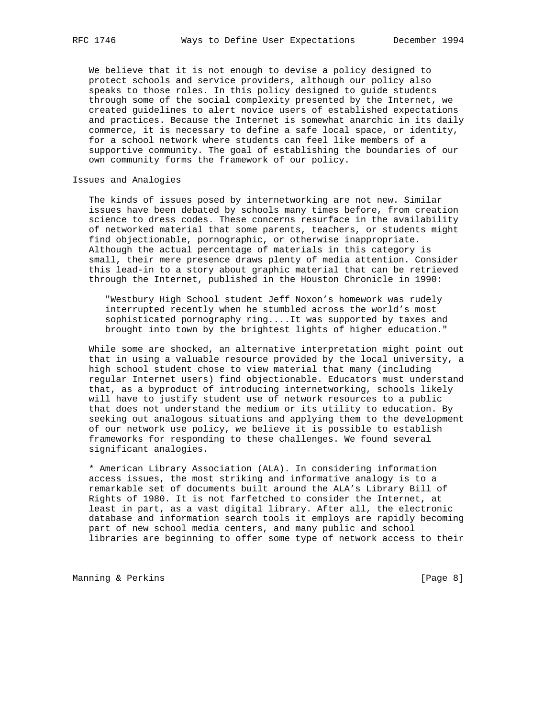We believe that it is not enough to devise a policy designed to protect schools and service providers, although our policy also speaks to those roles. In this policy designed to guide students through some of the social complexity presented by the Internet, we created guidelines to alert novice users of established expectations and practices. Because the Internet is somewhat anarchic in its daily commerce, it is necessary to define a safe local space, or identity, for a school network where students can feel like members of a supportive community. The goal of establishing the boundaries of our own community forms the framework of our policy.

#### Issues and Analogies

 The kinds of issues posed by internetworking are not new. Similar issues have been debated by schools many times before, from creation science to dress codes. These concerns resurface in the availability of networked material that some parents, teachers, or students might find objectionable, pornographic, or otherwise inappropriate. Although the actual percentage of materials in this category is small, their mere presence draws plenty of media attention. Consider this lead-in to a story about graphic material that can be retrieved through the Internet, published in the Houston Chronicle in 1990:

 "Westbury High School student Jeff Noxon's homework was rudely interrupted recently when he stumbled across the world's most sophisticated pornography ring....It was supported by taxes and brought into town by the brightest lights of higher education."

 While some are shocked, an alternative interpretation might point out that in using a valuable resource provided by the local university, a high school student chose to view material that many (including regular Internet users) find objectionable. Educators must understand that, as a byproduct of introducing internetworking, schools likely will have to justify student use of network resources to a public that does not understand the medium or its utility to education. By seeking out analogous situations and applying them to the development of our network use policy, we believe it is possible to establish frameworks for responding to these challenges. We found several significant analogies.

 \* American Library Association (ALA). In considering information access issues, the most striking and informative analogy is to a remarkable set of documents built around the ALA's Library Bill of Rights of 1980. It is not farfetched to consider the Internet, at least in part, as a vast digital library. After all, the electronic database and information search tools it employs are rapidly becoming part of new school media centers, and many public and school libraries are beginning to offer some type of network access to their

Manning & Perkins **Manning American** Page 8]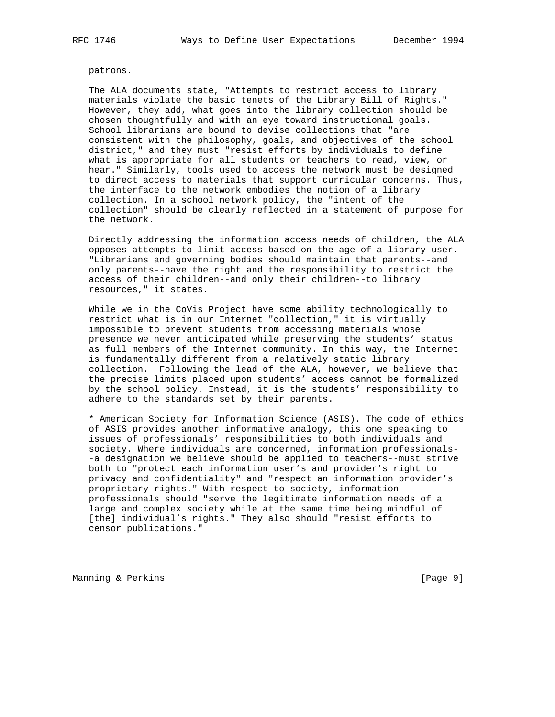patrons.

 The ALA documents state, "Attempts to restrict access to library materials violate the basic tenets of the Library Bill of Rights." However, they add, what goes into the library collection should be chosen thoughtfully and with an eye toward instructional goals. School librarians are bound to devise collections that "are consistent with the philosophy, goals, and objectives of the school district," and they must "resist efforts by individuals to define what is appropriate for all students or teachers to read, view, or hear." Similarly, tools used to access the network must be designed to direct access to materials that support curricular concerns. Thus, the interface to the network embodies the notion of a library collection. In a school network policy, the "intent of the collection" should be clearly reflected in a statement of purpose for the network.

 Directly addressing the information access needs of children, the ALA opposes attempts to limit access based on the age of a library user. "Librarians and governing bodies should maintain that parents--and only parents--have the right and the responsibility to restrict the access of their children--and only their children--to library resources," it states.

 While we in the CoVis Project have some ability technologically to restrict what is in our Internet "collection," it is virtually impossible to prevent students from accessing materials whose presence we never anticipated while preserving the students' status as full members of the Internet community. In this way, the Internet is fundamentally different from a relatively static library collection. Following the lead of the ALA, however, we believe that the precise limits placed upon students' access cannot be formalized by the school policy. Instead, it is the students' responsibility to adhere to the standards set by their parents.

 \* American Society for Information Science (ASIS). The code of ethics of ASIS provides another informative analogy, this one speaking to issues of professionals' responsibilities to both individuals and society. Where individuals are concerned, information professionals- -a designation we believe should be applied to teachers--must strive both to "protect each information user's and provider's right to privacy and confidentiality" and "respect an information provider's proprietary rights." With respect to society, information professionals should "serve the legitimate information needs of a large and complex society while at the same time being mindful of [the] individual's rights." They also should "resist efforts to censor publications."

Manning & Perkins **Manning American** (Page 9)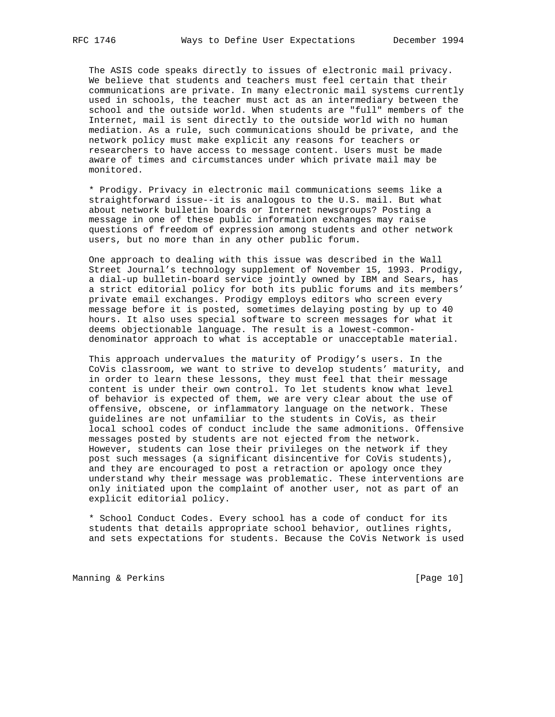The ASIS code speaks directly to issues of electronic mail privacy. We believe that students and teachers must feel certain that their communications are private. In many electronic mail systems currently used in schools, the teacher must act as an intermediary between the school and the outside world. When students are "full" members of the Internet, mail is sent directly to the outside world with no human mediation. As a rule, such communications should be private, and the network policy must make explicit any reasons for teachers or researchers to have access to message content. Users must be made aware of times and circumstances under which private mail may be monitored.

 \* Prodigy. Privacy in electronic mail communications seems like a straightforward issue--it is analogous to the U.S. mail. But what about network bulletin boards or Internet newsgroups? Posting a message in one of these public information exchanges may raise questions of freedom of expression among students and other network users, but no more than in any other public forum.

 One approach to dealing with this issue was described in the Wall Street Journal's technology supplement of November 15, 1993. Prodigy, a dial-up bulletin-board service jointly owned by IBM and Sears, has a strict editorial policy for both its public forums and its members' private email exchanges. Prodigy employs editors who screen every message before it is posted, sometimes delaying posting by up to 40 hours. It also uses special software to screen messages for what it deems objectionable language. The result is a lowest-common denominator approach to what is acceptable or unacceptable material.

 This approach undervalues the maturity of Prodigy's users. In the CoVis classroom, we want to strive to develop students' maturity, and in order to learn these lessons, they must feel that their message content is under their own control. To let students know what level of behavior is expected of them, we are very clear about the use of offensive, obscene, or inflammatory language on the network. These guidelines are not unfamiliar to the students in CoVis, as their local school codes of conduct include the same admonitions. Offensive messages posted by students are not ejected from the network. However, students can lose their privileges on the network if they post such messages (a significant disincentive for CoVis students), and they are encouraged to post a retraction or apology once they understand why their message was problematic. These interventions are only initiated upon the complaint of another user, not as part of an explicit editorial policy.

 \* School Conduct Codes. Every school has a code of conduct for its students that details appropriate school behavior, outlines rights, and sets expectations for students. Because the CoVis Network is used

Manning & Perkins (Page 10)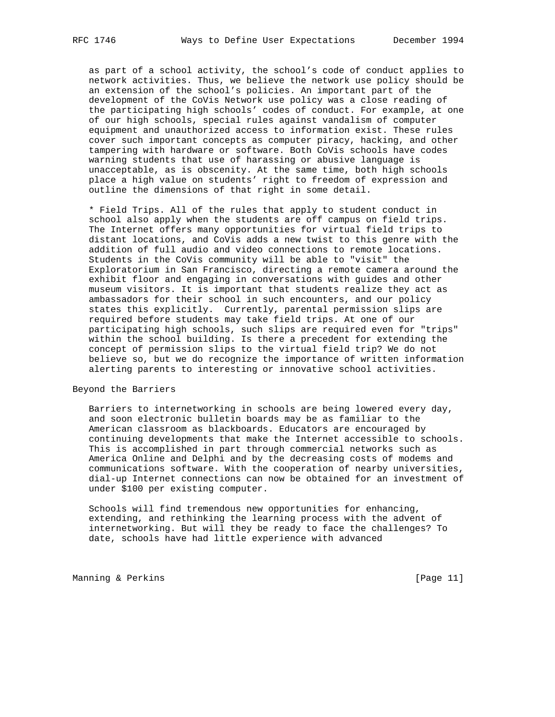as part of a school activity, the school's code of conduct applies to network activities. Thus, we believe the network use policy should be an extension of the school's policies. An important part of the development of the CoVis Network use policy was a close reading of the participating high schools' codes of conduct. For example, at one of our high schools, special rules against vandalism of computer equipment and unauthorized access to information exist. These rules cover such important concepts as computer piracy, hacking, and other tampering with hardware or software. Both CoVis schools have codes warning students that use of harassing or abusive language is unacceptable, as is obscenity. At the same time, both high schools place a high value on students' right to freedom of expression and outline the dimensions of that right in some detail.

 \* Field Trips. All of the rules that apply to student conduct in school also apply when the students are off campus on field trips. The Internet offers many opportunities for virtual field trips to distant locations, and CoVis adds a new twist to this genre with the addition of full audio and video connections to remote locations. Students in the CoVis community will be able to "visit" the Exploratorium in San Francisco, directing a remote camera around the exhibit floor and engaging in conversations with guides and other museum visitors. It is important that students realize they act as ambassadors for their school in such encounters, and our policy states this explicitly. Currently, parental permission slips are required before students may take field trips. At one of our participating high schools, such slips are required even for "trips" within the school building. Is there a precedent for extending the concept of permission slips to the virtual field trip? We do not believe so, but we do recognize the importance of written information alerting parents to interesting or innovative school activities.

Beyond the Barriers

 Barriers to internetworking in schools are being lowered every day, and soon electronic bulletin boards may be as familiar to the American classroom as blackboards. Educators are encouraged by continuing developments that make the Internet accessible to schools. This is accomplished in part through commercial networks such as America Online and Delphi and by the decreasing costs of modems and communications software. With the cooperation of nearby universities, dial-up Internet connections can now be obtained for an investment of under \$100 per existing computer.

 Schools will find tremendous new opportunities for enhancing, extending, and rethinking the learning process with the advent of internetworking. But will they be ready to face the challenges? To date, schools have had little experience with advanced

Manning & Perkins [Page 11]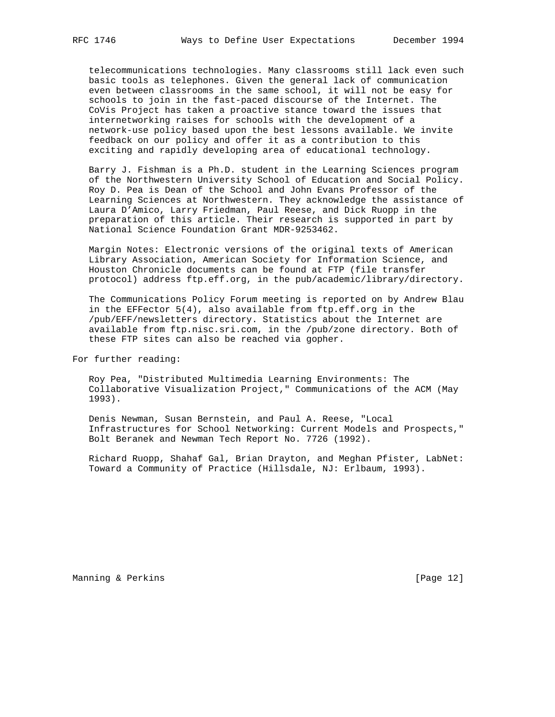telecommunications technologies. Many classrooms still lack even such basic tools as telephones. Given the general lack of communication even between classrooms in the same school, it will not be easy for schools to join in the fast-paced discourse of the Internet. The CoVis Project has taken a proactive stance toward the issues that internetworking raises for schools with the development of a network-use policy based upon the best lessons available. We invite feedback on our policy and offer it as a contribution to this exciting and rapidly developing area of educational technology.

 Barry J. Fishman is a Ph.D. student in the Learning Sciences program of the Northwestern University School of Education and Social Policy. Roy D. Pea is Dean of the School and John Evans Professor of the Learning Sciences at Northwestern. They acknowledge the assistance of Laura D'Amico, Larry Friedman, Paul Reese, and Dick Ruopp in the preparation of this article. Their research is supported in part by National Science Foundation Grant MDR-9253462.

 Margin Notes: Electronic versions of the original texts of American Library Association, American Society for Information Science, and Houston Chronicle documents can be found at FTP (file transfer protocol) address ftp.eff.org, in the pub/academic/library/directory.

 The Communications Policy Forum meeting is reported on by Andrew Blau in the EFFector 5(4), also available from ftp.eff.org in the /pub/EFF/newsletters directory. Statistics about the Internet are available from ftp.nisc.sri.com, in the /pub/zone directory. Both of these FTP sites can also be reached via gopher.

For further reading:

 Roy Pea, "Distributed Multimedia Learning Environments: The Collaborative Visualization Project," Communications of the ACM (May 1993).

 Denis Newman, Susan Bernstein, and Paul A. Reese, "Local Infrastructures for School Networking: Current Models and Prospects," Bolt Beranek and Newman Tech Report No. 7726 (1992).

 Richard Ruopp, Shahaf Gal, Brian Drayton, and Meghan Pfister, LabNet: Toward a Community of Practice (Hillsdale, NJ: Erlbaum, 1993).

Manning & Perkins [Page 12]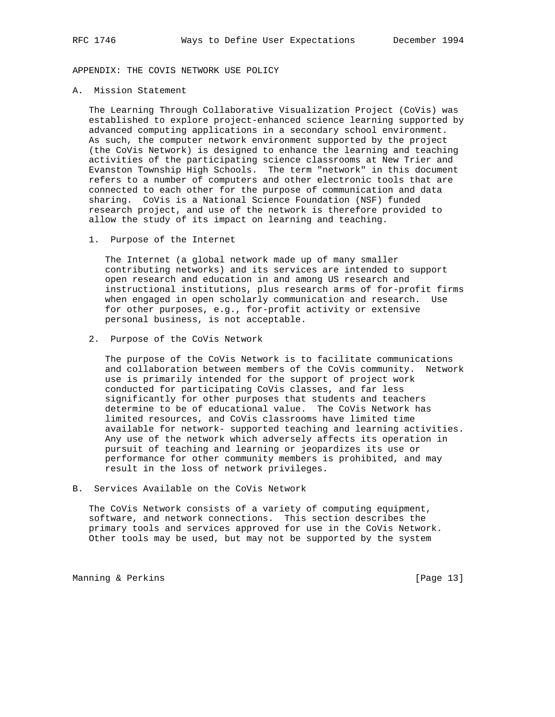APPENDIX: THE COVIS NETWORK USE POLICY

A. Mission Statement

 The Learning Through Collaborative Visualization Project (CoVis) was established to explore project-enhanced science learning supported by advanced computing applications in a secondary school environment. As such, the computer network environment supported by the project (the CoVis Network) is designed to enhance the learning and teaching activities of the participating science classrooms at New Trier and Evanston Township High Schools. The term "network" in this document refers to a number of computers and other electronic tools that are connected to each other for the purpose of communication and data sharing. CoVis is a National Science Foundation (NSF) funded research project, and use of the network is therefore provided to allow the study of its impact on learning and teaching.

1. Purpose of the Internet

 The Internet (a global network made up of many smaller contributing networks) and its services are intended to support open research and education in and among US research and instructional institutions, plus research arms of for-profit firms when engaged in open scholarly communication and research. Use for other purposes, e.g., for-profit activity or extensive personal business, is not acceptable.

2. Purpose of the CoVis Network

 The purpose of the CoVis Network is to facilitate communications and collaboration between members of the CoVis community. Network use is primarily intended for the support of project work conducted for participating CoVis classes, and far less significantly for other purposes that students and teachers determine to be of educational value. The CoVis Network has limited resources, and CoVis classrooms have limited time available for network- supported teaching and learning activities. Any use of the network which adversely affects its operation in pursuit of teaching and learning or jeopardizes its use or performance for other community members is prohibited, and may result in the loss of network privileges.

B. Services Available on the CoVis Network

 The CoVis Network consists of a variety of computing equipment, software, and network connections. This section describes the primary tools and services approved for use in the CoVis Network. Other tools may be used, but may not be supported by the system

Manning & Perkins [Page 13]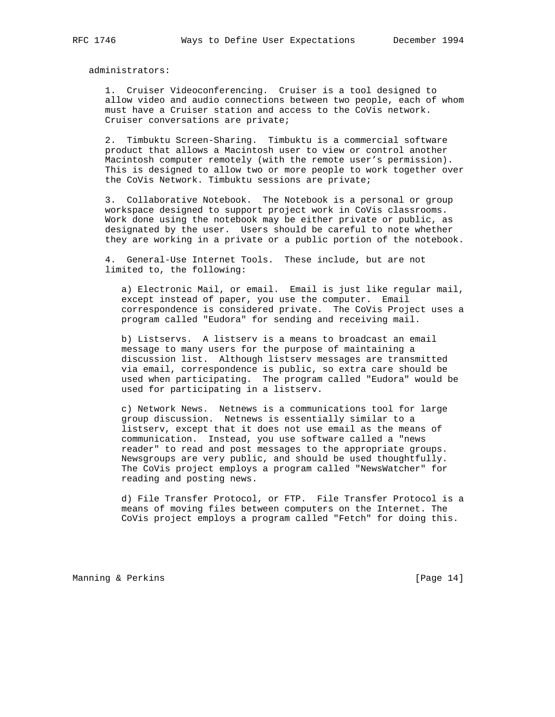administrators:

 1. Cruiser Videoconferencing. Cruiser is a tool designed to allow video and audio connections between two people, each of whom must have a Cruiser station and access to the CoVis network. Cruiser conversations are private;

 2. Timbuktu Screen-Sharing. Timbuktu is a commercial software product that allows a Macintosh user to view or control another Macintosh computer remotely (with the remote user's permission). This is designed to allow two or more people to work together over the CoVis Network. Timbuktu sessions are private;

 3. Collaborative Notebook. The Notebook is a personal or group workspace designed to support project work in CoVis classrooms. Work done using the notebook may be either private or public, as designated by the user. Users should be careful to note whether they are working in a private or a public portion of the notebook.

 4. General-Use Internet Tools. These include, but are not limited to, the following:

 a) Electronic Mail, or email. Email is just like regular mail, except instead of paper, you use the computer. Email correspondence is considered private. The CoVis Project uses a program called "Eudora" for sending and receiving mail.

 b) Listservs. A listserv is a means to broadcast an email message to many users for the purpose of maintaining a discussion list. Although listserv messages are transmitted via email, correspondence is public, so extra care should be used when participating. The program called "Eudora" would be used for participating in a listserv.

 c) Network News. Netnews is a communications tool for large group discussion. Netnews is essentially similar to a listserv, except that it does not use email as the means of communication. Instead, you use software called a "news reader" to read and post messages to the appropriate groups. Newsgroups are very public, and should be used thoughtfully. The CoVis project employs a program called "NewsWatcher" for reading and posting news.

 d) File Transfer Protocol, or FTP. File Transfer Protocol is a means of moving files between computers on the Internet. The CoVis project employs a program called "Fetch" for doing this.

Manning & Perkins [Page 14]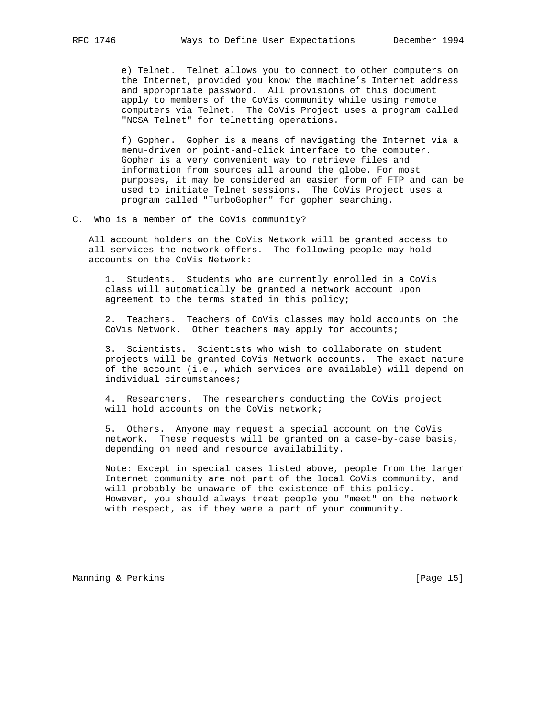e) Telnet. Telnet allows you to connect to other computers on the Internet, provided you know the machine's Internet address and appropriate password. All provisions of this document apply to members of the CoVis community while using remote computers via Telnet. The CoVis Project uses a program called "NCSA Telnet" for telnetting operations.

 f) Gopher. Gopher is a means of navigating the Internet via a menu-driven or point-and-click interface to the computer. Gopher is a very convenient way to retrieve files and information from sources all around the globe. For most purposes, it may be considered an easier form of FTP and can be used to initiate Telnet sessions. The CoVis Project uses a program called "TurboGopher" for gopher searching.

C. Who is a member of the CoVis community?

 All account holders on the CoVis Network will be granted access to all services the network offers. The following people may hold accounts on the CoVis Network:

 1. Students. Students who are currently enrolled in a CoVis class will automatically be granted a network account upon agreement to the terms stated in this policy;

 2. Teachers. Teachers of CoVis classes may hold accounts on the CoVis Network. Other teachers may apply for accounts;

 3. Scientists. Scientists who wish to collaborate on student projects will be granted CoVis Network accounts. The exact nature of the account (i.e., which services are available) will depend on individual circumstances;

 4. Researchers. The researchers conducting the CoVis project will hold accounts on the CoVis network;

 5. Others. Anyone may request a special account on the CoVis network. These requests will be granted on a case-by-case basis, depending on need and resource availability.

 Note: Except in special cases listed above, people from the larger Internet community are not part of the local CoVis community, and will probably be unaware of the existence of this policy. However, you should always treat people you "meet" on the network with respect, as if they were a part of your community.

Manning & Perkins [Page 15]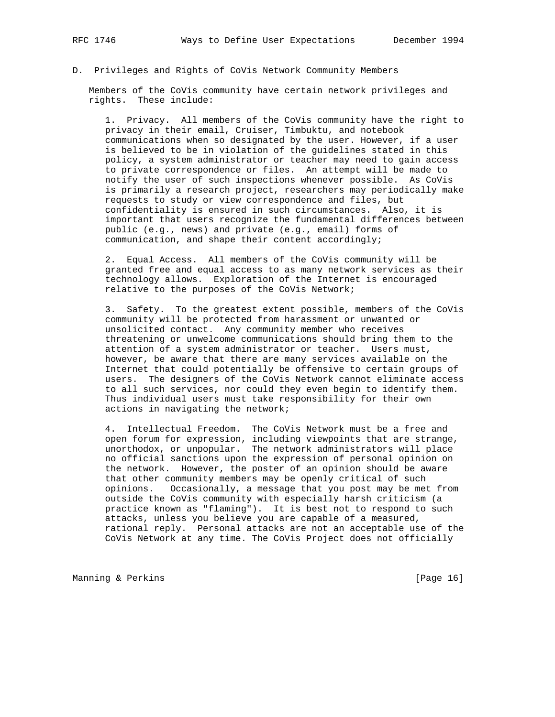# D. Privileges and Rights of CoVis Network Community Members

 Members of the CoVis community have certain network privileges and rights. These include:

 1. Privacy. All members of the CoVis community have the right to privacy in their email, Cruiser, Timbuktu, and notebook communications when so designated by the user. However, if a user is believed to be in violation of the guidelines stated in this policy, a system administrator or teacher may need to gain access to private correspondence or files. An attempt will be made to notify the user of such inspections whenever possible. As CoVis is primarily a research project, researchers may periodically make requests to study or view correspondence and files, but confidentiality is ensured in such circumstances. Also, it is important that users recognize the fundamental differences between public (e.g., news) and private (e.g., email) forms of communication, and shape their content accordingly;

 2. Equal Access. All members of the CoVis community will be granted free and equal access to as many network services as their technology allows. Exploration of the Internet is encouraged relative to the purposes of the CoVis Network;

 3. Safety. To the greatest extent possible, members of the CoVis community will be protected from harassment or unwanted or unsolicited contact. Any community member who receives threatening or unwelcome communications should bring them to the attention of a system administrator or teacher. Users must, however, be aware that there are many services available on the Internet that could potentially be offensive to certain groups of users. The designers of the CoVis Network cannot eliminate access to all such services, nor could they even begin to identify them. Thus individual users must take responsibility for their own actions in navigating the network;

 4. Intellectual Freedom. The CoVis Network must be a free and open forum for expression, including viewpoints that are strange, unorthodox, or unpopular. The network administrators will place no official sanctions upon the expression of personal opinion on the network. However, the poster of an opinion should be aware that other community members may be openly critical of such opinions. Occasionally, a message that you post may be met from outside the CoVis community with especially harsh criticism (a practice known as "flaming"). It is best not to respond to such attacks, unless you believe you are capable of a measured, rational reply. Personal attacks are not an acceptable use of the CoVis Network at any time. The CoVis Project does not officially

Manning & Perkins (Page 16)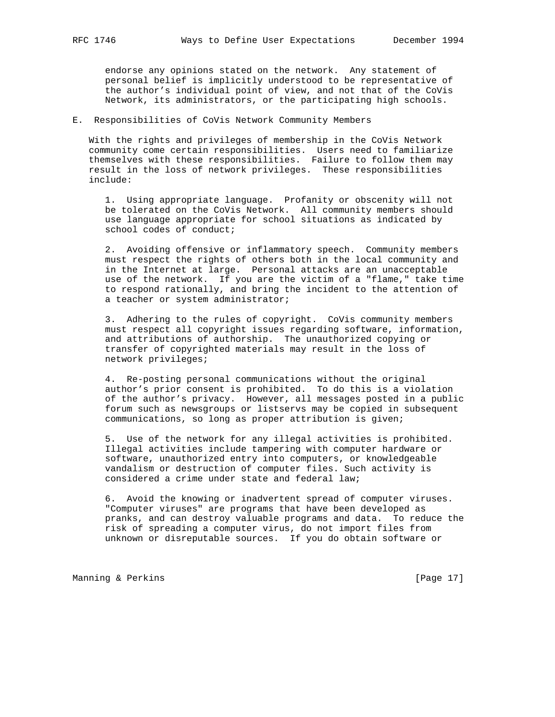endorse any opinions stated on the network. Any statement of personal belief is implicitly understood to be representative of the author's individual point of view, and not that of the CoVis Network, its administrators, or the participating high schools.

### E. Responsibilities of CoVis Network Community Members

 With the rights and privileges of membership in the CoVis Network community come certain responsibilities. Users need to familiarize themselves with these responsibilities. Failure to follow them may result in the loss of network privileges. These responsibilities include:

 1. Using appropriate language. Profanity or obscenity will not be tolerated on the CoVis Network. All community members should use language appropriate for school situations as indicated by school codes of conduct;

 2. Avoiding offensive or inflammatory speech. Community members must respect the rights of others both in the local community and in the Internet at large. Personal attacks are an unacceptable use of the network. If you are the victim of a "flame," take time to respond rationally, and bring the incident to the attention of a teacher or system administrator;

 3. Adhering to the rules of copyright. CoVis community members must respect all copyright issues regarding software, information, and attributions of authorship. The unauthorized copying or transfer of copyrighted materials may result in the loss of network privileges;

 4. Re-posting personal communications without the original author's prior consent is prohibited. To do this is a violation of the author's privacy. However, all messages posted in a public forum such as newsgroups or listservs may be copied in subsequent communications, so long as proper attribution is given;

 5. Use of the network for any illegal activities is prohibited. Illegal activities include tampering with computer hardware or software, unauthorized entry into computers, or knowledgeable vandalism or destruction of computer files. Such activity is considered a crime under state and federal law;

 6. Avoid the knowing or inadvertent spread of computer viruses. "Computer viruses" are programs that have been developed as pranks, and can destroy valuable programs and data. To reduce the risk of spreading a computer virus, do not import files from unknown or disreputable sources. If you do obtain software or

Manning & Perkins (Page 17)